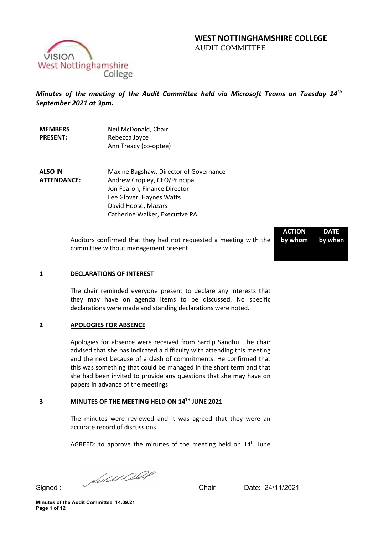# **WEST NOTTINGHAMSHIRE COLLEGE**

AUDIT COMMITTEE



*Minutes of the meeting of the Audit Committee held via Microsoft Teams on Tuesday 14th September 2021 at 3pm.* 

| <b>MEMBERS</b><br><b>PRESENT:</b>    | Neil McDonald, Chair<br>Rebecca Joyce<br>Ann Treacy (co-optee)                                                                                                                                                                                                                                                                                                                                       |                          |                        |
|--------------------------------------|------------------------------------------------------------------------------------------------------------------------------------------------------------------------------------------------------------------------------------------------------------------------------------------------------------------------------------------------------------------------------------------------------|--------------------------|------------------------|
| <b>ALSO IN</b><br><b>ATTENDANCE:</b> | Maxine Bagshaw, Director of Governance<br>Andrew Cropley, CEO/Principal<br>Jon Fearon, Finance Director<br>Lee Glover, Haynes Watts<br>David Hoose, Mazars<br>Catherine Walker, Executive PA                                                                                                                                                                                                         |                          |                        |
|                                      | Auditors confirmed that they had not requested a meeting with the<br>committee without management present.                                                                                                                                                                                                                                                                                           | <b>ACTION</b><br>by whom | <b>DATE</b><br>by when |
| $\mathbf{1}$                         | <b>DECLARATIONS OF INTEREST</b>                                                                                                                                                                                                                                                                                                                                                                      |                          |                        |
|                                      | The chair reminded everyone present to declare any interests that<br>they may have on agenda items to be discussed. No specific<br>declarations were made and standing declarations were noted.                                                                                                                                                                                                      |                          |                        |
| 2                                    | <b>APOLOGIES FOR ABSENCE</b>                                                                                                                                                                                                                                                                                                                                                                         |                          |                        |
|                                      | Apologies for absence were received from Sardip Sandhu. The chair<br>advised that she has indicated a difficulty with attending this meeting<br>and the next because of a clash of commitments. He confirmed that<br>this was something that could be managed in the short term and that<br>she had been invited to provide any questions that she may have on<br>papers in advance of the meetings. |                          |                        |
| 3                                    | MINUTES OF THE MEETING HELD ON 14TH JUNE 2021                                                                                                                                                                                                                                                                                                                                                        |                          |                        |
|                                      | The minutes were reviewed and it was agreed that they were an<br>accurate record of discussions.                                                                                                                                                                                                                                                                                                     |                          |                        |
|                                      | AGREED: to approve the minutes of the meeting held on 14 <sup>th</sup> June                                                                                                                                                                                                                                                                                                                          |                          |                        |

Signed : \_\_\_\_ \_\_\_\_\_\_\_\_\_Chair Date: 24/11/2021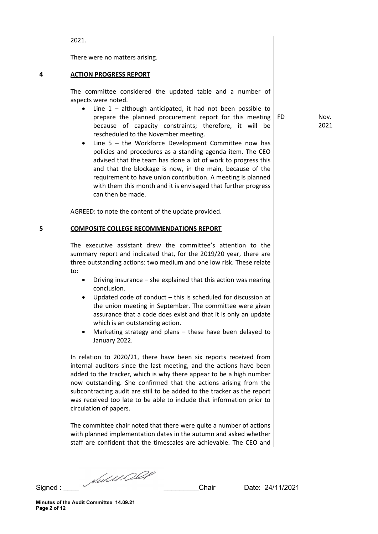Signed : \_\_\_\_ \_\_\_\_\_\_\_\_\_Chair Date: 24/11/2021 **4 ACTION PROGRESS REPORT** The committee considered the updated table and a number of aspects were noted. • Line 1 – although anticipated, it had not been possible to prepare the planned procurement report for this meeting because of capacity constraints; therefore, it will be rescheduled to the November meeting. Line  $5 -$  the Workforce Development Committee now has policies and procedures as a standing agenda item. The CEO advised that the team has done a lot of work to progress this and that the blockage is now, in the main, because of the requirement to have union contribution. A meeting is planned with them this month and it is envisaged that further progress can then be made. AGREED: to note the content of the update provided. **5 COMPOSITE COLLEGE RECOMMENDATIONS REPORT**  The executive assistant drew the committee's attention to the summary report and indicated that, for the 2019/20 year, there are three outstanding actions: two medium and one low risk. These relate to: • Driving insurance – she explained that this action was nearing conclusion. • Updated code of conduct – this is scheduled for discussion at the union meeting in September. The committee were given assurance that a code does exist and that it is only an update which is an outstanding action. • Marketing strategy and plans – these have been delayed to January 2022. In relation to 2020/21, there have been six reports received from internal auditors since the last meeting, and the actions have been added to the tracker, which is why there appear to be a high number now outstanding. She confirmed that the actions arising from the subcontracting audit are still to be added to the tracker as the report was received too late to be able to include that information prior to circulation of papers. The committee chair noted that there were quite a number of actions with planned implementation dates in the autumn and asked whether staff are confident that the timescales are achievable. The CEO and

2021.

There were no matters arising.

FD Nov. 2021

**Minutes of the Audit Committee 14.09.21 Page 2 of 12**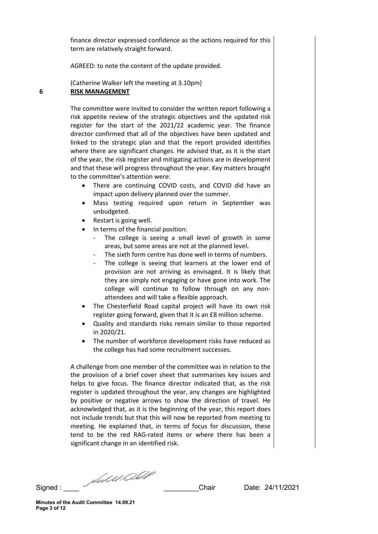finance director expressed confidence as the actions required for this term are relatively straight forward.

AGREED: to note the content of the update provided.

(Catherine Walker left the meeting at 3.10pm) **6 RISK MANAGEMENT**

> The committee were invited to consider the written report following a risk appetite review of the strategic objectives and the updated risk register for the start of the 2021/22 academic year. The finance director confirmed that all of the objectives have been updated and linked to the strategic plan and that the report provided identifies where there are significant changes. He advised that, as it is the start of the year, the risk register and mitigating actions are in development and that these will progress throughout the year. Key matters brought to the committee's attention were:

- There are continuing COVID costs, and COVID did have an impact upon delivery planned over the summer.
- Mass testing required upon return in September was unbudgeted.
- Restart is going well.
- In terms of the financial position:
	- The college is seeing a small level of growth in some areas, but some areas are not at the planned level.
	- The sixth form centre has done well in terms of numbers.
	- The college is seeing that learners at the lower end of provision are not arriving as envisaged. It is likely that they are simply not engaging or have gone into work. The college will continue to follow through on any nonattendees and will take a flexible approach.
- The Chesterfield Road capital project will have its own risk register going forward, given that it is an £8 million scheme.
- Quality and standards risks remain similar to those reported in 2020/21.
- The number of workforce development risks have reduced as the college has had some recruitment successes.

A challenge from one member of the committee was in relation to the the provision of a brief cover sheet that summarises key issues and helps to give focus. The finance director indicated that, as the risk register is updated throughout the year, any changes are highlighted by positive or negative arrows to show the direction of travel. He acknowledged that, as it is the beginning of the year, this report does not include trends but that this will now be reported from meeting to meeting. He explained that, in terms of focus for discussion, these tend to be the red RAG-rated items or where there has been a significant change in an identified risk.

Signed :  $\frac{1}{\sqrt{2\pi}}$  Chair Date: 24/11/2021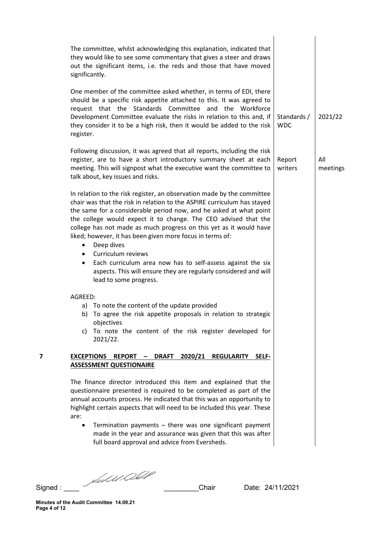|                                                                                                                                                                                                                                                                                                                                                                                       | Standards /<br><b>WDC</b>                                                                                                                                                                                                                                                                                                                                                                                                                                                                                                                                                                                                                                                                                                                                                                                                                                                                                                                                                                                                                                                                                                                                                                                                                                                                                                                                                                                                                                                                                                                                                                                                                                                                                                                                                                | 2021/22         |
|---------------------------------------------------------------------------------------------------------------------------------------------------------------------------------------------------------------------------------------------------------------------------------------------------------------------------------------------------------------------------------------|------------------------------------------------------------------------------------------------------------------------------------------------------------------------------------------------------------------------------------------------------------------------------------------------------------------------------------------------------------------------------------------------------------------------------------------------------------------------------------------------------------------------------------------------------------------------------------------------------------------------------------------------------------------------------------------------------------------------------------------------------------------------------------------------------------------------------------------------------------------------------------------------------------------------------------------------------------------------------------------------------------------------------------------------------------------------------------------------------------------------------------------------------------------------------------------------------------------------------------------------------------------------------------------------------------------------------------------------------------------------------------------------------------------------------------------------------------------------------------------------------------------------------------------------------------------------------------------------------------------------------------------------------------------------------------------------------------------------------------------------------------------------------------------|-----------------|
|                                                                                                                                                                                                                                                                                                                                                                                       | Report<br>writers                                                                                                                                                                                                                                                                                                                                                                                                                                                                                                                                                                                                                                                                                                                                                                                                                                                                                                                                                                                                                                                                                                                                                                                                                                                                                                                                                                                                                                                                                                                                                                                                                                                                                                                                                                        | All<br>meetings |
| Deep dives<br>Curriculum reviews<br>Each curriculum area now has to self-assess against the six<br>aspects. This will ensure they are regularly considered and will<br>lead to some progress.                                                                                                                                                                                         |                                                                                                                                                                                                                                                                                                                                                                                                                                                                                                                                                                                                                                                                                                                                                                                                                                                                                                                                                                                                                                                                                                                                                                                                                                                                                                                                                                                                                                                                                                                                                                                                                                                                                                                                                                                          |                 |
| To agree the risk appetite proposals in relation to strategic<br>objectives<br>To note the content of the risk register developed for<br>2021/22.<br>2020/21<br><b>REGULARITY</b><br><b>REPORT</b><br><b>DRAFT</b><br>SELF-<br>$\overline{\phantom{m}}$<br>Termination payments $-$ there was one significant payment<br>made in the year and assurance was given that this was after |                                                                                                                                                                                                                                                                                                                                                                                                                                                                                                                                                                                                                                                                                                                                                                                                                                                                                                                                                                                                                                                                                                                                                                                                                                                                                                                                                                                                                                                                                                                                                                                                                                                                                                                                                                                          |                 |
|                                                                                                                                                                                                                                                                                                                                                                                       | The committee, whilst acknowledging this explanation, indicated that<br>they would like to see some commentary that gives a steer and draws<br>out the significant items, i.e. the reds and those that have moved<br>significantly.<br>One member of the committee asked whether, in terms of EDI, there<br>should be a specific risk appetite attached to this. It was agreed to<br>request that the Standards Committee and the Workforce<br>Development Committee evaluate the risks in relation to this and, if<br>they consider it to be a high risk, then it would be added to the risk<br>register.<br>Following discussion, it was agreed that all reports, including the risk<br>register, are to have a short introductory summary sheet at each<br>meeting. This will signpost what the executive want the committee to<br>talk about, key issues and risks.<br>In relation to the risk register, an observation made by the committee<br>chair was that the risk in relation to the ASPIRE curriculum has stayed<br>the same for a considerable period now, and he asked at what point<br>the college would expect it to change. The CEO advised that the<br>college has not made as much progress on this yet as it would have<br>liked; however, it has been given more focus in terms of:<br>AGREED:<br>a) To note the content of the update provided<br>b)<br>C)<br><b>EXCEPTIONS</b><br><b>ASSESSMENT QUESTIONAIRE</b><br>The finance director introduced this item and explained that the<br>questionnaire presented is required to be completed as part of the<br>annual accounts process. He indicated that this was an opportunity to<br>highlight certain aspects that will need to be included this year. These<br>full board approval and advice from Eversheds. |                 |

Signed : \_\_\_\_ \_\_\_\_\_\_\_\_\_Chair Date: 24/11/2021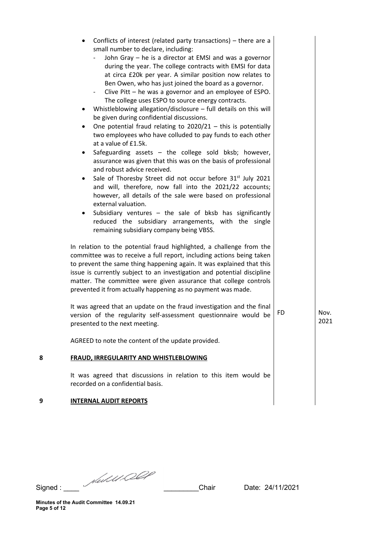| 8 | <b>FRAUD, IRREGULARITY AND WHISTLEBLOWING</b><br>It was agreed that discussions in relation to this item would be<br>recorded on a confidential basis.                                                                                                                                                                                                                                                                                                                                                                                                                                                                                                                                                                                                                                                                                                                                                                                                                                                                                                                                                                                                                                                                                                                                                                                                                                                                                                                                                                                                                         |     |              |
|---|--------------------------------------------------------------------------------------------------------------------------------------------------------------------------------------------------------------------------------------------------------------------------------------------------------------------------------------------------------------------------------------------------------------------------------------------------------------------------------------------------------------------------------------------------------------------------------------------------------------------------------------------------------------------------------------------------------------------------------------------------------------------------------------------------------------------------------------------------------------------------------------------------------------------------------------------------------------------------------------------------------------------------------------------------------------------------------------------------------------------------------------------------------------------------------------------------------------------------------------------------------------------------------------------------------------------------------------------------------------------------------------------------------------------------------------------------------------------------------------------------------------------------------------------------------------------------------|-----|--------------|
|   | version of the regularity self-assessment questionnaire would be<br>presented to the next meeting.<br>AGREED to note the content of the update provided.                                                                                                                                                                                                                                                                                                                                                                                                                                                                                                                                                                                                                                                                                                                                                                                                                                                                                                                                                                                                                                                                                                                                                                                                                                                                                                                                                                                                                       | FD. | Nov.<br>2021 |
|   | Ben Owen, who has just joined the board as a governor.<br>Clive Pitt – he was a governor and an employee of ESPO.<br>$\overline{\phantom{0}}$<br>The college uses ESPO to source energy contracts.<br>Whistleblowing allegation/disclosure $-$ full details on this will<br>be given during confidential discussions.<br>One potential fraud relating to $2020/21$ – this is potentially<br>٠<br>two employees who have colluded to pay funds to each other<br>at a value of £1.5k.<br>Safeguarding assets - the college sold bksb; however,<br>assurance was given that this was on the basis of professional<br>and robust advice received.<br>Sale of Thoresby Street did not occur before 31 <sup>st</sup> July 2021<br>$\bullet$<br>and will, therefore, now fall into the 2021/22 accounts;<br>however, all details of the sale were based on professional<br>external valuation.<br>Subsidiary ventures - the sale of bksb has significantly<br>٠<br>reduced the subsidiary arrangements, with the single<br>remaining subsidiary company being VBSS.<br>In relation to the potential fraud highlighted, a challenge from the<br>committee was to receive a full report, including actions being taken<br>to prevent the same thing happening again. It was explained that this<br>issue is currently subject to an investigation and potential discipline<br>matter. The committee were given assurance that college controls<br>prevented it from actually happening as no payment was made.<br>It was agreed that an update on the fraud investigation and the final |     |              |
|   | Conflicts of interest (related party transactions) – there are a<br>small number to declare, including:<br>John Gray - he is a director at EMSI and was a governor<br>during the year. The college contracts with EMSI for data<br>at circa £20k per year. A similar position now relates to                                                                                                                                                                                                                                                                                                                                                                                                                                                                                                                                                                                                                                                                                                                                                                                                                                                                                                                                                                                                                                                                                                                                                                                                                                                                                   |     |              |

Signed : \_\_\_\_ \_\_\_\_\_\_\_\_\_Chair Date: 24/11/2021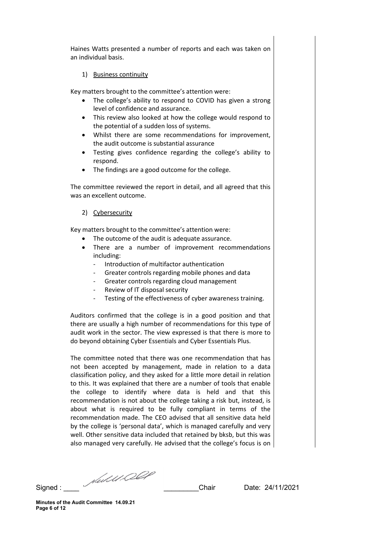Haines Watts presented a number of reports and each was taken on an individual basis.

## 1) Business continuity

Key matters brought to the committee's attention were:

- The college's ability to respond to COVID has given a strong level of confidence and assurance.
- This review also looked at how the college would respond to the potential of a sudden loss of systems.
- Whilst there are some recommendations for improvement, the audit outcome is substantial assurance
- Testing gives confidence regarding the college's ability to respond.
- The findings are a good outcome for the college.

The committee reviewed the report in detail, and all agreed that this was an excellent outcome.

## 2) Cybersecurity

Key matters brought to the committee's attention were:

- The outcome of the audit is adequate assurance.
- There are a number of improvement recommendations including:
	- Introduction of multifactor authentication
	- Greater controls regarding mobile phones and data
	- Greater controls regarding cloud management
	- Review of IT disposal security
	- Testing of the effectiveness of cyber awareness training.

Auditors confirmed that the college is in a good position and that there are usually a high number of recommendations for this type of audit work in the sector. The view expressed is that there is more to do beyond obtaining Cyber Essentials and Cyber Essentials Plus.

The committee noted that there was one recommendation that has not been accepted by management, made in relation to a data classification policy, and they asked for a little more detail in relation to this. It was explained that there are a number of tools that enable the college to identify where data is held and that this recommendation is not about the college taking a risk but, instead, is about what is required to be fully compliant in terms of the recommendation made. The CEO advised that all sensitive data held by the college is 'personal data', which is managed carefully and very well. Other sensitive data included that retained by bksb, but this was also managed very carefully. He advised that the college's focus is on

Signed : \_\_\_\_ \_\_\_\_\_\_\_\_\_Chair Date: 24/11/2021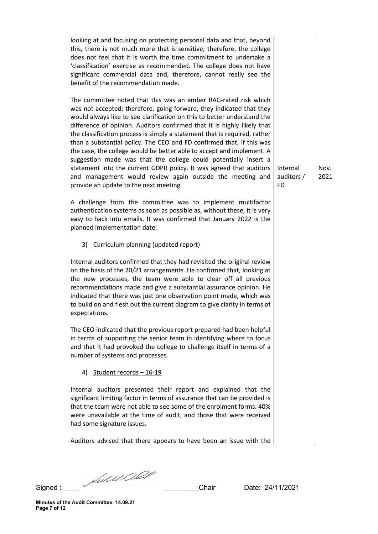looking at and focusing on protecting personal data and that, beyond this, there is not much more that is sensitive; therefore, the college does not feel that it is worth the time commitment to undertake a 'classification' exercise as recommended. The college does not have significant commercial data and, therefore, cannot really see the benefit of the recommendation made.

The committee noted that this was an amber RAG-rated risk which was not accepted; therefore, going forward, they indicated that they would always like to see clarification on this to better understand the difference of opinion. Auditors confirmed that it is highly likely that the classification process is simply a statement that is required, rather than a substantial policy. The CEO and FD confirmed that, if this was the case, the college would be better able to accept and implement. A suggestion made was that the college could potentially insert a statement into the current GDPR policy. It was agreed that auditors and management would review again outside the meeting and provide an update to the next meeting.

A challenge from the committee was to implement multifactor authentication systems as soon as possible as, without these, it is very easy to hack into emails. It was confirmed that January 2022 is the planned implementation date.

3) Curriculum planning (updated report)

Internal auditors confirmed that they had revisited the original review on the basis of the 20/21 arrangements. He confirmed that, looking at the new processes, the team were able to clear off all previous recommendations made and give a substantial assurance opinion. He indicated that there was just one observation point made, which was to build on and flesh out the current diagram to give clarity in terms of expectations.

The CEO indicated that the previous report prepared had been helpful in terms of supporting the senior team in identifying where to focus and that it had provoked the college to challenge itself in terms of a number of systems and processes.

4) Student records – 16-19

Internal auditors presented their report and explained that the significant limiting factor in terms of assurance that can be provided is that the team were not able to see some of the enrolment forms. 40% were unavailable at the time of audit, and those that were received had some signature issues.

Auditors advised that there appears to have been an issue with the

Signed : \_\_\_\_ \_\_\_\_\_\_\_\_\_Chair Date: 24/11/2021

Nov. 2021

Internal auditors /

FD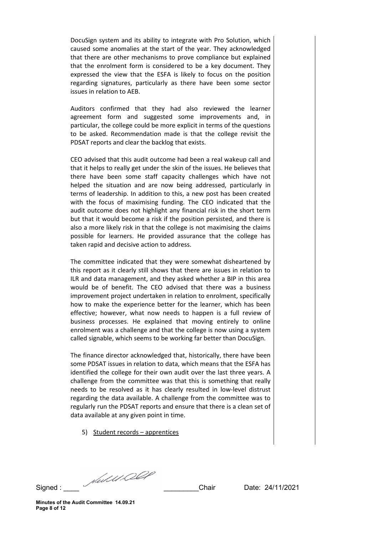DocuSign system and its ability to integrate with Pro Solution, which caused some anomalies at the start of the year. They acknowledged that there are other mechanisms to prove compliance but explained that the enrolment form is considered to be a key document. They expressed the view that the ESFA is likely to focus on the position regarding signatures, particularly as there have been some sector issues in relation to AEB.

Auditors confirmed that they had also reviewed the learner agreement form and suggested some improvements and, in particular, the college could be more explicit in terms of the questions to be asked. Recommendation made is that the college revisit the PDSAT reports and clear the backlog that exists.

CEO advised that this audit outcome had been a real wakeup call and that it helps to really get under the skin of the issues. He believes that there have been some staff capacity challenges which have not helped the situation and are now being addressed, particularly in terms of leadership. In addition to this, a new post has been created with the focus of maximising funding. The CEO indicated that the audit outcome does not highlight any financial risk in the short term but that it would become a risk if the position persisted, and there is also a more likely risk in that the college is not maximising the claims possible for learners. He provided assurance that the college has taken rapid and decisive action to address.

The committee indicated that they were somewhat disheartened by this report as it clearly still shows that there are issues in relation to ILR and data management, and they asked whether a BIP in this area would be of benefit. The CEO advised that there was a business improvement project undertaken in relation to enrolment, specifically how to make the experience better for the learner, which has been effective; however, what now needs to happen is a full review of business processes. He explained that moving entirely to online enrolment was a challenge and that the college is now using a system called signable, which seems to be working far better than DocuSign.

The finance director acknowledged that, historically, there have been some PDSAT issues in relation to data, which means that the ESFA has identified the college for their own audit over the last three years. A challenge from the committee was that this is something that really needs to be resolved as it has clearly resulted in low-level distrust regarding the data available. A challenge from the committee was to regularly run the PDSAT reports and ensure that there is a clean set of data available at any given point in time.

5) Student records – apprentices

Signed :  $\frac{1}{\sqrt{2}}$  Chair Date: 24/11/2021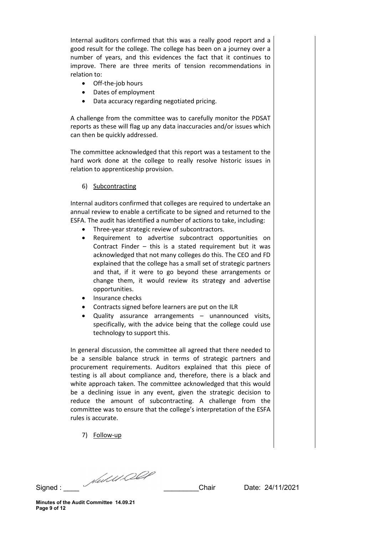Internal auditors confirmed that this was a really good report and a good result for the college. The college has been on a journey over a number of years, and this evidences the fact that it continues to improve. There are three merits of tension recommendations in relation to:

- Off-the-job hours
- Dates of employment
- Data accuracy regarding negotiated pricing.

A challenge from the committee was to carefully monitor the PDSAT reports as these will flag up any data inaccuracies and/or issues which can then be quickly addressed.

The committee acknowledged that this report was a testament to the hard work done at the college to really resolve historic issues in relation to apprenticeship provision.

6) Subcontracting

Internal auditors confirmed that colleges are required to undertake an annual review to enable a certificate to be signed and returned to the ESFA. The audit has identified a number of actions to take, including:

- Three-year strategic review of subcontractors.
- Requirement to advertise subcontract opportunities on Contract Finder – this is a stated requirement but it was acknowledged that not many colleges do this. The CEO and FD explained that the college has a small set of strategic partners and that, if it were to go beyond these arrangements or change them, it would review its strategy and advertise opportunities.
- Insurance checks
- Contracts signed before learners are put on the ILR
- Quality assurance arrangements unannounced visits, specifically, with the advice being that the college could use technology to support this.

In general discussion, the committee all agreed that there needed to be a sensible balance struck in terms of strategic partners and procurement requirements. Auditors explained that this piece of testing is all about compliance and, therefore, there is a black and white approach taken. The committee acknowledged that this would be a declining issue in any event, given the strategic decision to reduce the amount of subcontracting. A challenge from the committee was to ensure that the college's interpretation of the ESFA rules is accurate.

7) Follow-up

Signed :  $\frac{1}{\sqrt{2}}$  Signed :  $\frac{1}{2021}$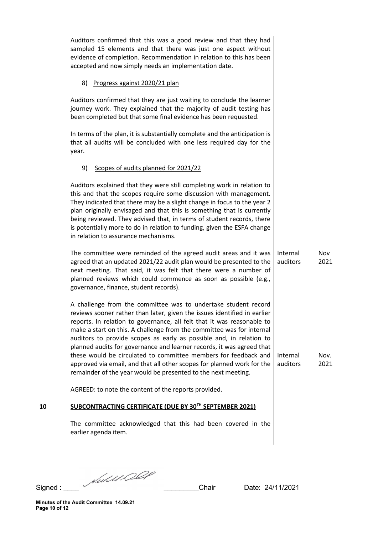|    | Auditors confirmed that this was a good review and that they had<br>sampled 15 elements and that there was just one aspect without<br>evidence of completion. Recommendation in relation to this has been<br>accepted and now simply needs an implementation date.                                                                                                                                                                                                                                                                                                                                                                                          |                      |              |
|----|-------------------------------------------------------------------------------------------------------------------------------------------------------------------------------------------------------------------------------------------------------------------------------------------------------------------------------------------------------------------------------------------------------------------------------------------------------------------------------------------------------------------------------------------------------------------------------------------------------------------------------------------------------------|----------------------|--------------|
|    | 8) Progress against 2020/21 plan                                                                                                                                                                                                                                                                                                                                                                                                                                                                                                                                                                                                                            |                      |              |
|    | Auditors confirmed that they are just waiting to conclude the learner<br>journey work. They explained that the majority of audit testing has<br>been completed but that some final evidence has been requested.                                                                                                                                                                                                                                                                                                                                                                                                                                             |                      |              |
|    | In terms of the plan, it is substantially complete and the anticipation is<br>that all audits will be concluded with one less required day for the<br>year.                                                                                                                                                                                                                                                                                                                                                                                                                                                                                                 |                      |              |
|    | Scopes of audits planned for 2021/22<br>9)                                                                                                                                                                                                                                                                                                                                                                                                                                                                                                                                                                                                                  |                      |              |
|    | Auditors explained that they were still completing work in relation to<br>this and that the scopes require some discussion with management.<br>They indicated that there may be a slight change in focus to the year 2<br>plan originally envisaged and that this is something that is currently<br>being reviewed. They advised that, in terms of student records, there<br>is potentially more to do in relation to funding, given the ESFA change<br>in relation to assurance mechanisms.                                                                                                                                                                |                      |              |
|    | The committee were reminded of the agreed audit areas and it was<br>agreed that an updated 2021/22 audit plan would be presented to the<br>next meeting. That said, it was felt that there were a number of<br>planned reviews which could commence as soon as possible (e.g.,<br>governance, finance, student records).                                                                                                                                                                                                                                                                                                                                    | Internal<br>auditors | Nov<br>2021  |
|    | A challenge from the committee was to undertake student record<br>reviews sooner rather than later, given the issues identified in earlier<br>reports. In relation to governance, all felt that it was reasonable to<br>make a start on this. A challenge from the committee was for internal<br>auditors to provide scopes as early as possible and, in relation to<br>planned audits for governance and learner records, it was agreed that<br>these would be circulated to committee members for feedback and<br>approved via email, and that all other scopes for planned work for the<br>remainder of the year would be presented to the next meeting. | Internal<br>auditors | Nov.<br>2021 |
|    | AGREED: to note the content of the reports provided.                                                                                                                                                                                                                                                                                                                                                                                                                                                                                                                                                                                                        |                      |              |
| 10 | SUBCONTRACTING CERTIFICATE (DUE BY 30TH SEPTEMBER 2021)                                                                                                                                                                                                                                                                                                                                                                                                                                                                                                                                                                                                     |                      |              |
|    | The committee acknowledged that this had been covered in the<br>earlier agenda item.                                                                                                                                                                                                                                                                                                                                                                                                                                                                                                                                                                        |                      |              |
|    |                                                                                                                                                                                                                                                                                                                                                                                                                                                                                                                                                                                                                                                             |                      |              |

Signed : \_\_\_\_ \_\_\_\_\_\_\_\_\_Chair Date: 24/11/2021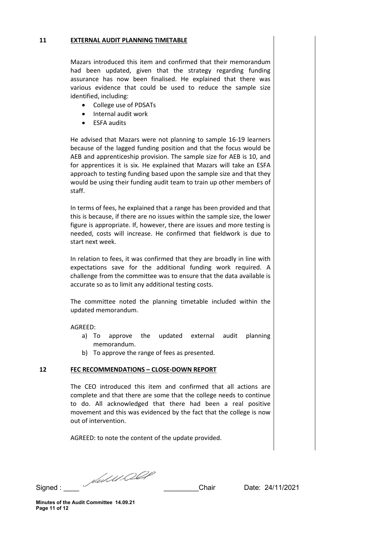#### **11 EXTERNAL AUDIT PLANNING TIMETABLE**

Mazars introduced this item and confirmed that their memorandum had been updated, given that the strategy regarding funding assurance has now been finalised. He explained that there was various evidence that could be used to reduce the sample size identified, including:

- College use of PDSATs
- Internal audit work
- ESFA audits

He advised that Mazars were not planning to sample 16-19 learners because of the lagged funding position and that the focus would be AEB and apprenticeship provision. The sample size for AEB is 10, and for apprentices it is six. He explained that Mazars will take an ESFA approach to testing funding based upon the sample size and that they would be using their funding audit team to train up other members of staff.

In terms of fees, he explained that a range has been provided and that this is because, if there are no issues within the sample size, the lower figure is appropriate. If, however, there are issues and more testing is needed, costs will increase. He confirmed that fieldwork is due to start next week.

In relation to fees, it was confirmed that they are broadly in line with expectations save for the additional funding work required. A challenge from the committee was to ensure that the data available is accurate so as to limit any additional testing costs.

The committee noted the planning timetable included within the updated memorandum.

## AGREED:

- a) To approve the updated external audit planning memorandum.
- b) To approve the range of fees as presented.

## **12 FEC RECOMMENDATIONS – CLOSE-DOWN REPORT**

The CEO introduced this item and confirmed that all actions are complete and that there are some that the college needs to continue to do. All acknowledged that there had been a real positive movement and this was evidenced by the fact that the college is now out of intervention.

AGREED: to note the content of the update provided.

Signed : \_\_\_\_ \_\_\_\_\_\_\_\_\_Chair Date: 24/11/2021